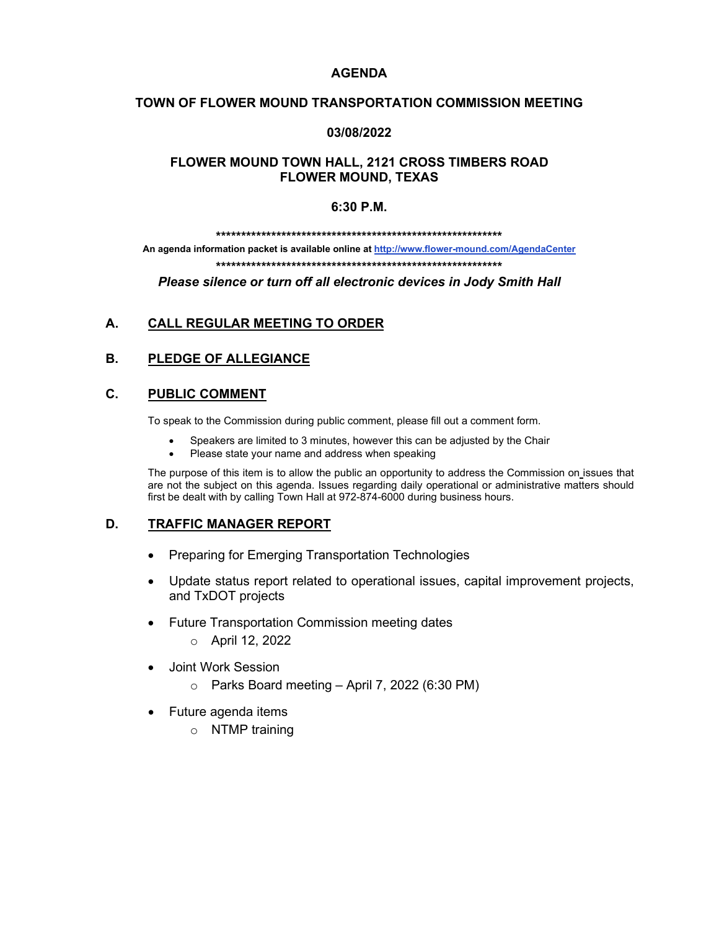### **AGENDA**

### **TOWN OF FLOWER MOUND TRANSPORTATION COMMISSION MEETING**

### **03/08/2022**

#### **FLOWER MOUND TOWN HALL, 2121 CROSS TIMBERS ROAD FLOWER MOUND, TEXAS**

### **6:30 P.M.**

**\*\*\*\*\*\*\*\*\*\*\*\*\*\*\*\*\*\*\*\*\*\*\*\*\*\*\*\*\*\*\*\*\*\*\*\*\*\*\*\*\*\*\*\*\*\*\*\*\*\*\*\*\*\*\*\*\***

**An agenda information packet is available online a[t http://www.flower-mound.com/AgendaCenter](http://www.flower-mound.com/AgendaCenter) \*\*\*\*\*\*\*\*\*\*\*\*\*\*\*\*\*\*\*\*\*\*\*\*\*\*\*\*\*\*\*\*\*\*\*\*\*\*\*\*\*\*\*\*\*\*\*\*\*\*\*\*\*\*\*\*\***

*Please silence or turn off all electronic devices in Jody Smith Hall*

# **A. CALL REGULAR MEETING TO ORDER**

# **B. PLEDGE OF ALLEGIANCE**

### **C. PUBLIC COMMENT**

To speak to the Commission during public comment, please fill out a comment form.

- Speakers are limited to 3 minutes, however this can be adjusted by the Chair
- Please state your name and address when speaking

The purpose of this item is to allow the public an opportunity to address the Commission on issues that are not the subject on this agenda. Issues regarding daily operational or administrative matters should first be dealt with by calling Town Hall at 972-874-6000 during business hours.

#### **D. TRAFFIC MANAGER REPORT**

- Preparing for Emerging Transportation Technologies
- Update status report related to operational issues, capital improvement projects, and TxDOT projects
- Future Transportation Commission meeting dates
	- o April 12, 2022
- Joint Work Session
	- $\circ$  Parks Board meeting April 7, 2022 (6:30 PM)
- Future agenda items
	- o NTMP training